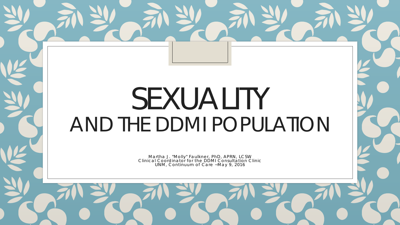# SEXUALITY AND THE DDMI POPULATION

Martha J. "Molly" Faulkner, PhD, APRN, LCSW Clinical Coordinator for the DDMI Consultation Clinic UNM, Continuum of Care ~May 9, 2016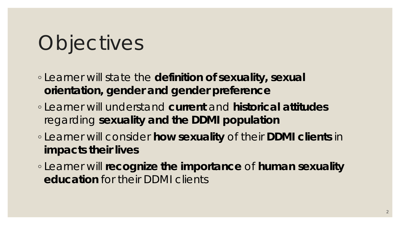# **Objectives**

- Learner will state the **definition of sexuality, sexual orientation, gender and gender preference**
- Learner will understand **current** and **historical attitudes**  regarding **sexuality and the DDMI population**
- Learner will consider **how sexuality** of their **DDMI clients** in **impacts their lives**
- Learner will **recognize the importance** of **human sexuality education** for their DDMI clients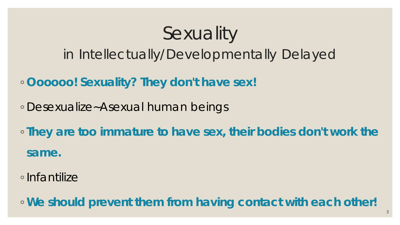#### **Sexuality** in Intellectually/Developmentally Delayed

◦ **Oooooo! Sexuality?** *They* **don't have sex!** 

◦ Desexualize~Asexual human beings

◦ *They* **are too** *immature* **to have sex, their bodies don't work the same.**

◦Infantilize

◦ **We should** *prevent them* **from having contact with each other!**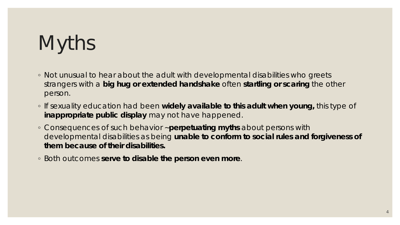# Myths

- Not unusual to hear about the adult with developmental disabilities who greets strangers with a **big hug or extended handshake** often **startling or scaring** the other person.
- If sexuality education had been **widely available to this adult when young,** this type of **inappropriate public display** may not have happened.
- Consequences of such behavior ~**perpetuating myths** about persons with developmental disabilities as being **unable to conform to social rules and forgiveness of them because of their disabilities.**
- Both outcomes **serve to disable the person even more**.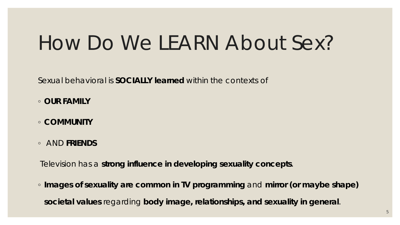### How Do We LEARN About Sex?

Sexual behavioral is **SOCIALLY learned** within the contexts of

- **OUR FAMILY**
- **COMMUNITY**
- AND **FRIENDS**

Television has a **strong influence in developing sexuality concepts**.

◦ **Images of sexuality are common in TV programming** and **mirror (or maybe shape) societal values** regarding **body image, relationships, and sexuality in general**.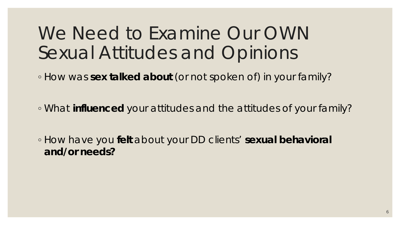#### We Need to Examine Our OWN Sexual Attitudes and Opinions

◦ How was **sex talked about** (or not spoken of) in your family?

◦ What **influenced** your attitudes and the attitudes of your family?

◦ How have you **felt** about your DD clients' **sexual behavioral and/or needs?**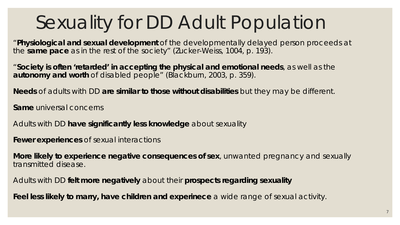### Sexuality for DD Adult Population

"**Physiological and sexual development** of the developmentally delayed person proceeds at the **same pace** as in the rest of the society" (Zucker-Weiss, 1004, p. 193).

"**Society is often 'retarded' in accepting the physical and emotional needs**, as well as the **autonomy and worth** of disabled people" (Blackburn, 2003, p. 359).

**Needs** of adults with DD **are similar to those without disabilities** but they may be different.

**Same** universal concerns

Adults with DD **have significantly less knowledge** about sexuality

**Fewer experiences** of sexual interactions

**More likely to experience negative consequences of sex**, unwanted pregnancy and sexually transmitted disease.

Adults with DD **felt more negatively** about their **prospects regarding sexuality**

**Feel less likely to marry, have children and experinece** a wide range of sexual activity.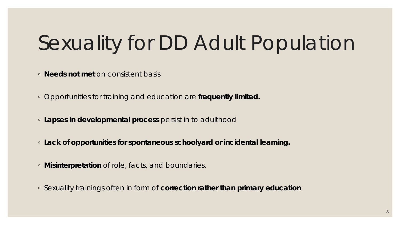# Sexuality for DD Adult Population

- **Needs not met** on consistent basis
- Opportunities for training and education are **frequently limited.**
- **Lapses in developmental process** persist in to adulthood
- **Lack of opportunities for spontaneous schoolyard or incidental learning.**
- **Misinterpretation** of role, facts, and boundaries.
- Sexuality trainings often in form of **correction rather than primary education**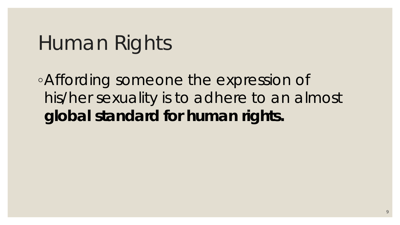#### Human Rights

◦Affording someone the expression of his/her sexuality is to adhere to an almost **global standard for human rights.**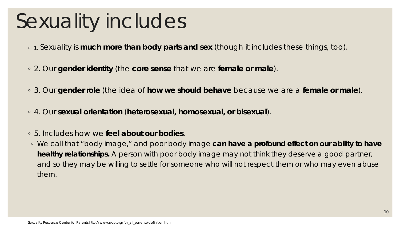### Sexuality includes

- 1. Sexuality is **much more than body parts and sex** (though it includes these things, too).
- 2. Our **gender identity** (the **core sense** that we are **female or male**).
- 3. Our **gender role** (the idea of **how we should behave** because we are a **female or male**).
- 4. Our **sexual orientation** (**heterosexual, homosexual, or bisexual**).
- 5. Includes how we **feel about our bodies**.
- We call that "body image," and poor body image **can have a profound effect on our ability to have healthy relationships.** A person with poor body image may not think they deserve a good partner, and so they may be willing to settle for someone who will not respect them or who may even abuse them.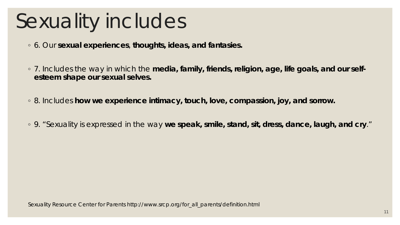# Sexuality includes

- 6. Our **sexual experiences**, **thoughts, ideas, and fantasies.**
- 7. Includes the way in which the **media, family, friends, religion, age, life goals, and our selfesteem shape our sexual selves.**
- 8. Includes **how we experience intimacy, touch, love, compassion, joy, and sorrow.**
- 9. "Sexuality is expressed in the way **we speak, smile, stand, sit, dress, dance, laugh, and cry**."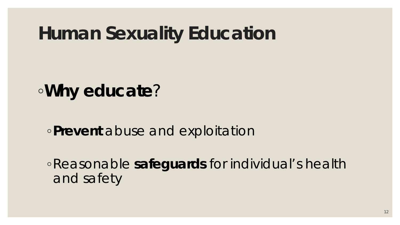#### **Human Sexuality Education**

#### ◦**Why educate**?

◦**Prevent** abuse and exploitation

◦Reasonable **safeguards** for individual's health and safety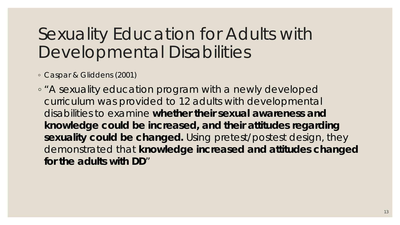#### Sexuality Education for Adults with Developmental Disabilities

◦ Caspar & Gliddens (2001)

◦ "A sexuality education program with a newly developed curriculum was provided to 12 adults with developmental disabilities to examine **whether their sexual awareness and knowledge could be increased, and their attitudes regarding sexuality could be changed.** Using pretest/postest design, they demonstrated that **knowledge increased and attitudes changed for the adults with DD**"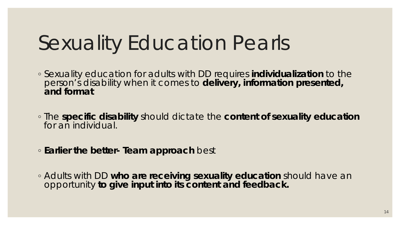# Sexuality Education Pearls

◦ Sexuality education for adults with DD requires **individualization** to the person's disability when it comes to **delivery, information presented, and format** 

◦ The **specific disability** should dictate the **content of sexuality education**  for an individual.

◦ **Earlier the better- Team approach** best

◦ Adults with DD **who are receiving sexuality education** should have an opportunity **to give input into its content and feedback.**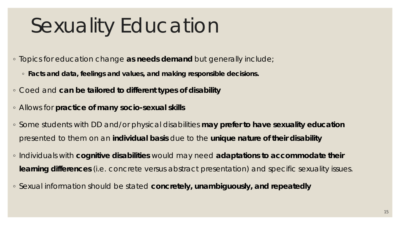# Sexuality Education

- Topics for education change **as needs demand** but generally include;
	- **Facts and data, feelings and values, and making responsible decisions.**
- Coed and **can be tailored to different types of disability**
- Allows for **practice of many socio-sexual skills**
- Some students with DD and/or physical disabilities **may prefer to have sexuality education**  presented to them on an **individual basis** due to the **unique nature of their disability**
- Individuals with **cognitive disabilities** would may need **adaptations to accommodate their learning differences** (i.e. concrete versus abstract presentation) and specific sexuality issues.
- Sexual information should be stated **concretely, unambiguously, and repeatedly**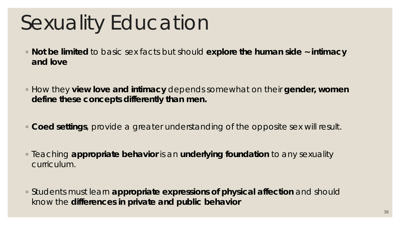# Sexuality Education

- **Not be limited** to basic sex facts but should **explore the human side ~ intimacy and love**
- How they **view love and intimacy** depends somewhat on their **gender, women define these concepts differently than men.**
- **Coed settings**, provide a greater understanding of the opposite sex will result.
- Teaching **appropriate behavior** is an **underlying foundation** to any sexuality curriculum.
- Students must learn **appropriate expressions of physical affection** and should know the **differences in private and public behavior**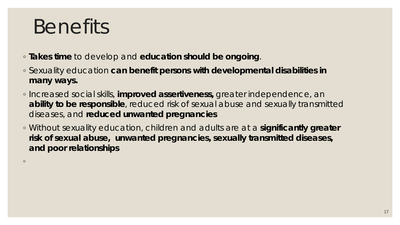### **Benefits**

◦ **Takes time** to develop and **education should be ongoing**.

- Sexuality education **can benefit persons with developmental disabilities in many ways.**
- Increased social skills, **improved assertiveness,** greater independence, an **ability to be responsible**, reduced risk of sexual abuse and sexually transmitted diseases, and **reduced unwanted pregnancies**
- Without sexuality education, children and adults are at a **significantly greater risk of sexual abuse, unwanted pregnancies, sexually transmitted diseases, and poor relationships**

 $\circ$